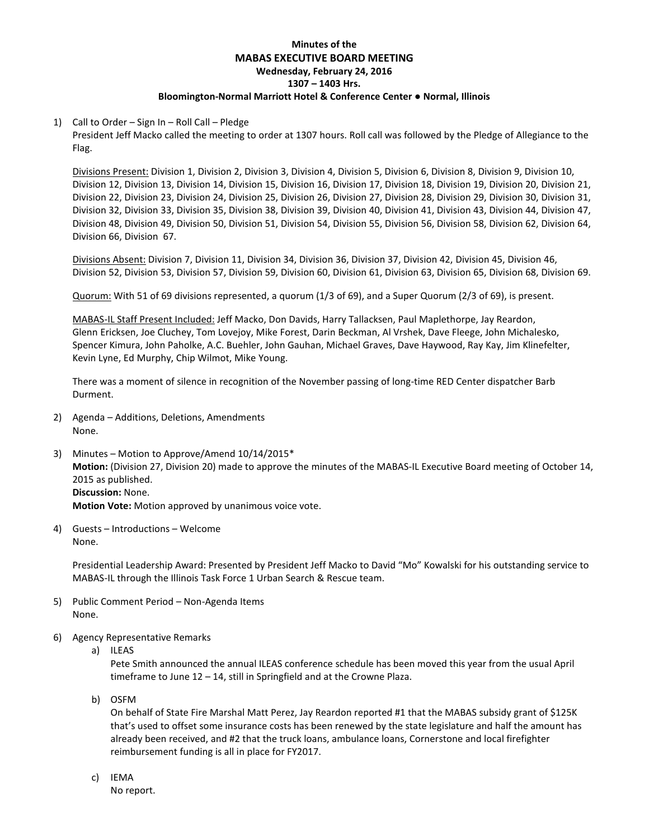# **Minutes of the MABAS EXECUTIVE BOARD MEETING Wednesday, February 24, 2016 1307 – 1403 Hrs. Bloomington-Normal Marriott Hotel & Conference Center ● Normal, Illinois**

## 1) Call to Order – Sign In – Roll Call – Pledge

President Jeff Macko called the meeting to order at 1307 hours. Roll call was followed by the Pledge of Allegiance to the Flag.

Divisions Present: Division 1, Division 2, Division 3, Division 4, Division 5, Division 6, Division 8, Division 9, Division 10, Division 12, Division 13, Division 14, Division 15, Division 16, Division 17, Division 18, Division 19, Division 20, Division 21, Division 22, Division 23, Division 24, Division 25, Division 26, Division 27, Division 28, Division 29, Division 30, Division 31, Division 32, Division 33, Division 35, Division 38, Division 39, Division 40, Division 41, Division 43, Division 44, Division 47, Division 48, Division 49, Division 50, Division 51, Division 54, Division 55, Division 56, Division 58, Division 62, Division 64, Division 66, Division 67.

Divisions Absent: Division 7, Division 11, Division 34, Division 36, Division 37, Division 42, Division 45, Division 46, Division 52, Division 53, Division 57, Division 59, Division 60, Division 61, Division 63, Division 65, Division 68, Division 69.

Quorum: With 51 of 69 divisions represented, a quorum (1/3 of 69), and a Super Quorum (2/3 of 69), is present.

MABAS-IL Staff Present Included: Jeff Macko, Don Davids, Harry Tallacksen, Paul Maplethorpe, Jay Reardon, Glenn Ericksen, Joe Cluchey, Tom Lovejoy, Mike Forest, Darin Beckman, Al Vrshek, Dave Fleege, John Michalesko, Spencer Kimura, John Paholke, A.C. Buehler, John Gauhan, Michael Graves, Dave Haywood, Ray Kay, Jim Klinefelter, Kevin Lyne, Ed Murphy, Chip Wilmot, Mike Young.

There was a moment of silence in recognition of the November passing of long-time RED Center dispatcher Barb Durment.

- 2) Agenda Additions, Deletions, Amendments None.
- 3) Minutes Motion to Approve/Amend 10/14/2015\* **Motion:** (Division 27, Division 20) made to approve the minutes of the MABAS-IL Executive Board meeting of October 14, 2015 as published. **Discussion:** None.

**Motion Vote:** Motion approved by unanimous voice vote.

4) Guests – Introductions – Welcome None.

> Presidential Leadership Award: Presented by President Jeff Macko to David "Mo" Kowalski for his outstanding service to MABAS-IL through the Illinois Task Force 1 Urban Search & Rescue team.

- 5) Public Comment Period Non-Agenda Items None.
- 6) Agency Representative Remarks
	- a) ILEAS

Pete Smith announced the annual ILEAS conference schedule has been moved this year from the usual April timeframe to June 12 – 14, still in Springfield and at the Crowne Plaza.

b) OSFM

On behalf of State Fire Marshal Matt Perez, Jay Reardon reported #1 that the MABAS subsidy grant of \$125K that's used to offset some insurance costs has been renewed by the state legislature and half the amount has already been received, and #2 that the truck loans, ambulance loans, Cornerstone and local firefighter reimbursement funding is all in place for FY2017.

c) IEMA

No report.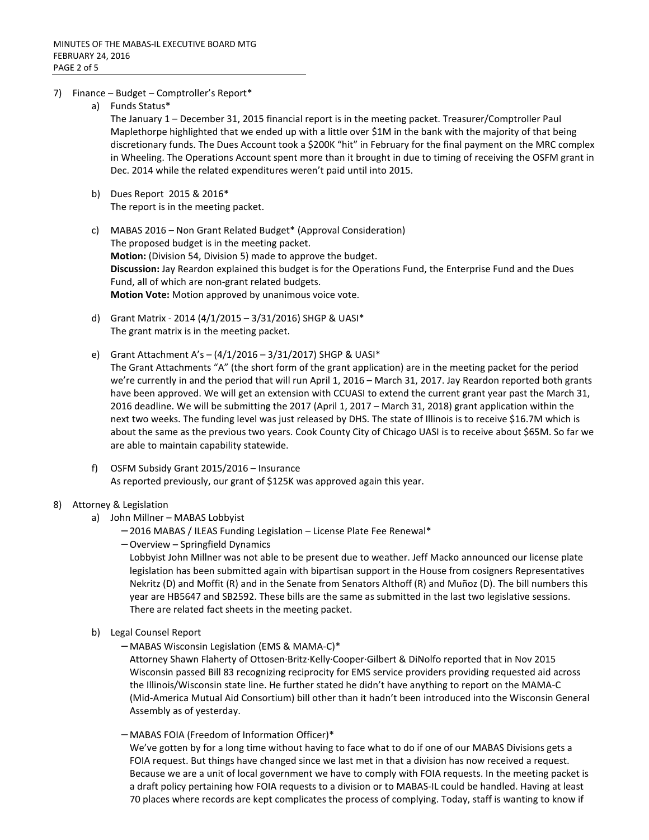- 7) Finance Budget Comptroller's Report\*
	- a) Funds Status\*

The January 1 – December 31, 2015 financial report is in the meeting packet. Treasurer/Comptroller Paul Maplethorpe highlighted that we ended up with a little over \$1M in the bank with the majority of that being discretionary funds. The Dues Account took a \$200K "hit" in February for the final payment on the MRC complex in Wheeling. The Operations Account spent more than it brought in due to timing of receiving the OSFM grant in Dec. 2014 while the related expenditures weren't paid until into 2015.

- b) Dues Report 2015 & 2016\* The report is in the meeting packet.
- c) MABAS 2016 Non Grant Related Budget\* (Approval Consideration) The proposed budget is in the meeting packet. **Motion:** (Division 54, Division 5) made to approve the budget. **Discussion:** Jay Reardon explained this budget is for the Operations Fund, the Enterprise Fund and the Dues Fund, all of which are non-grant related budgets. **Motion Vote:** Motion approved by unanimous voice vote.
- d) Grant Matrix 2014 (4/1/2015 3/31/2016) SHGP & UASI\* The grant matrix is in the meeting packet.
- e) Grant Attachment A's (4/1/2016 3/31/2017) SHGP & UASI\* The Grant Attachments "A" (the short form of the grant application) are in the meeting packet for the period we're currently in and the period that will run April 1, 2016 – March 31, 2017. Jay Reardon reported both grants have been approved. We will get an extension with CCUASI to extend the current grant year past the March 31, 2016 deadline. We will be submitting the 2017 (April 1, 2017 – March 31, 2018) grant application within the next two weeks. The funding level was just released by DHS. The state of Illinois is to receive \$16.7M which is about the same as the previous two years. Cook County City of Chicago UASI is to receive about \$65M. So far we are able to maintain capability statewide.
- f) OSFM Subsidy Grant 2015/2016 Insurance As reported previously, our grant of \$125K was approved again this year.
- 8) Attorney & Legislation
	- a) John Millner MABAS Lobbyist
		- − 2016 MABAS / ILEAS Funding Legislation License Plate Fee Renewal\*
		- − Overview Springfield Dynamics

Lobbyist John Millner was not able to be present due to weather. Jeff Macko announced our license plate legislation has been submitted again with bipartisan support in the House from cosigners Representatives Nekritz (D) and Moffit (R) and in the Senate from Senators Althoff (R) and Muñoz (D). The bill numbers this year are HB5647 and SB2592. These bills are the same as submitted in the last two legislative sessions. There are related fact sheets in the meeting packet.

- b) Legal Counsel Report
	- − MABAS Wisconsin Legislation (EMS & MAMA-C)\*

Attorney Shawn Flaherty of Ottosen∙Britz∙Kelly∙Cooper∙Gilbert & DiNolfo reported that in Nov 2015 Wisconsin passed Bill 83 recognizing reciprocity for EMS service providers providing requested aid across the Illinois/Wisconsin state line. He further stated he didn't have anything to report on the MAMA-C (Mid-America Mutual Aid Consortium) bill other than it hadn't been introduced into the Wisconsin General Assembly as of yesterday.

− MABAS FOIA (Freedom of Information Officer)\*

We've gotten by for a long time without having to face what to do if one of our MABAS Divisions gets a FOIA request. But things have changed since we last met in that a division has now received a request. Because we are a unit of local government we have to comply with FOIA requests. In the meeting packet is a draft policy pertaining how FOIA requests to a division or to MABAS-IL could be handled. Having at least 70 places where records are kept complicates the process of complying. Today, staff is wanting to know if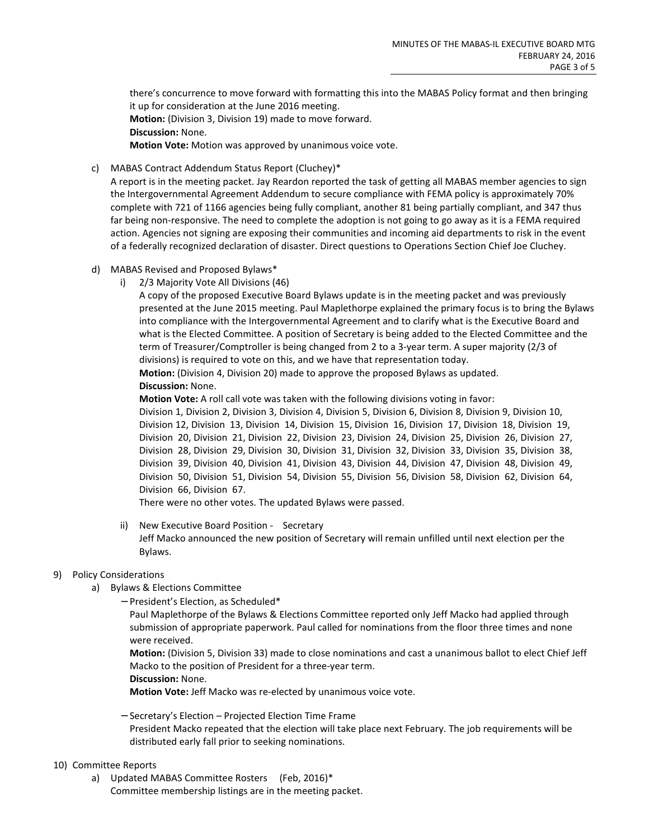there's concurrence to move forward with formatting this into the MABAS Policy format and then bringing it up for consideration at the June 2016 meeting. **Motion:** (Division 3, Division 19) made to move forward. **Discussion:** None. **Motion Vote:** Motion was approved by unanimous voice vote.

c) MABAS Contract Addendum Status Report (Cluchey)\*

A report is in the meeting packet. Jay Reardon reported the task of getting all MABAS member agencies to sign the Intergovernmental Agreement Addendum to secure compliance with FEMA policy is approximately 70% complete with 721 of 1166 agencies being fully compliant, another 81 being partially compliant, and 347 thus far being non-responsive. The need to complete the adoption is not going to go away as it is a FEMA required action. Agencies not signing are exposing their communities and incoming aid departments to risk in the event of a federally recognized declaration of disaster. Direct questions to Operations Section Chief Joe Cluchey.

- d) MABAS Revised and Proposed Bylaws\*
	- i) 2/3 Majority Vote All Divisions (46)

A copy of the proposed Executive Board Bylaws update is in the meeting packet and was previously presented at the June 2015 meeting. Paul Maplethorpe explained the primary focus is to bring the Bylaws into compliance with the Intergovernmental Agreement and to clarify what is the Executive Board and what is the Elected Committee. A position of Secretary is being added to the Elected Committee and the term of Treasurer/Comptroller is being changed from 2 to a 3-year term. A super majority (2/3 of divisions) is required to vote on this, and we have that representation today.

**Motion:** (Division 4, Division 20) made to approve the proposed Bylaws as updated. **Discussion:** None.

**Motion Vote:** A roll call vote was taken with the following divisions voting in favor: Division 1, Division 2, Division 3, Division 4, Division 5, Division 6, Division 8, Division 9, Division 10, Division 12, Division 13, Division 14, Division 15, Division 16, Division 17, Division 18, Division 19, Division 20, Division 21, Division 22, Division 23, Division 24, Division 25, Division 26, Division 27, Division 28, Division 29, Division 30, Division 31, Division 32, Division 33, Division 35, Division 38, Division 39, Division 40, Division 41, Division 43, Division 44, Division 47, Division 48, Division 49, Division 50, Division 51, Division 54, Division 55, Division 56, Division 58, Division 62, Division 64, Division 66, Division 67.

There were no other votes. The updated Bylaws were passed.

# ii) New Executive Board Position - Secretary

Jeff Macko announced the new position of Secretary will remain unfilled until next election per the Bylaws.

#### 9) Policy Considerations

- a) Bylaws & Elections Committee
	- − President's Election, as Scheduled\*

Paul Maplethorpe of the Bylaws & Elections Committee reported only Jeff Macko had applied through submission of appropriate paperwork. Paul called for nominations from the floor three times and none were received.

**Motion:** (Division 5, Division 33) made to close nominations and cast a unanimous ballot to elect Chief Jeff Macko to the position of President for a three-year term.

**Discussion:** None.

**Motion Vote:** Jeff Macko was re-elected by unanimous voice vote.

− Secretary's Election – Projected Election Time Frame President Macko repeated that the election will take place next February. The job requirements will be distributed early fall prior to seeking nominations.

## 10) Committee Reports

a) Updated MABAS Committee Rosters (Feb, 2016)\* Committee membership listings are in the meeting packet.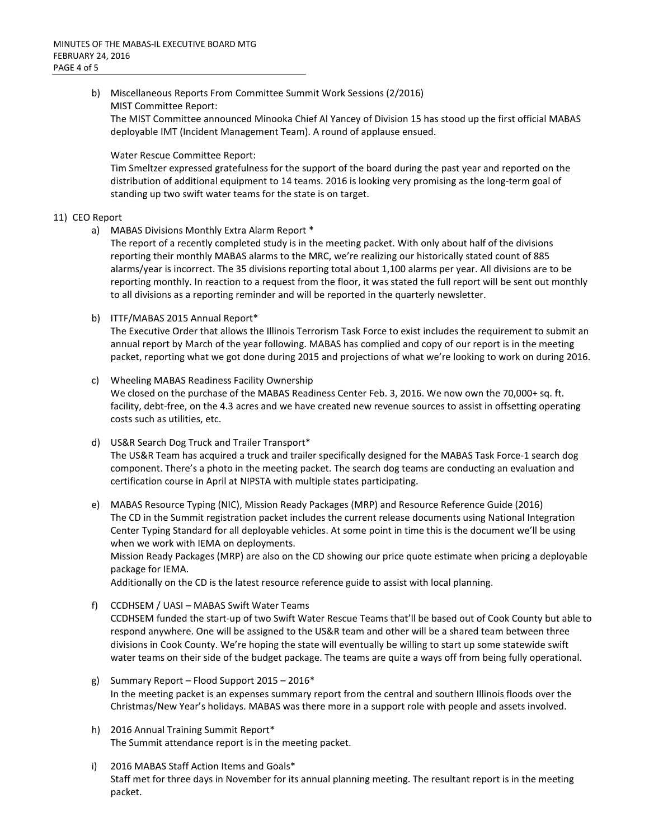b) Miscellaneous Reports From Committee Summit Work Sessions (2/2016) MIST Committee Report:

The MIST Committee announced Minooka Chief Al Yancey of Division 15 has stood up the first official MABAS deployable IMT (Incident Management Team). A round of applause ensued.

### Water Rescue Committee Report:

Tim Smeltzer expressed gratefulness for the support of the board during the past year and reported on the distribution of additional equipment to 14 teams. 2016 is looking very promising as the long-term goal of standing up two swift water teams for the state is on target.

## 11) CEO Report

a) MABAS Divisions Monthly Extra Alarm Report \*

The report of a recently completed study is in the meeting packet. With only about half of the divisions reporting their monthly MABAS alarms to the MRC, we're realizing our historically stated count of 885 alarms/year is incorrect. The 35 divisions reporting total about 1,100 alarms per year. All divisions are to be reporting monthly. In reaction to a request from the floor, it was stated the full report will be sent out monthly to all divisions as a reporting reminder and will be reported in the quarterly newsletter.

b) ITTF/MABAS 2015 Annual Report\*

The Executive Order that allows the Illinois Terrorism Task Force to exist includes the requirement to submit an annual report by March of the year following. MABAS has complied and copy of our report is in the meeting packet, reporting what we got done during 2015 and projections of what we're looking to work on during 2016.

- c) Wheeling MABAS Readiness Facility Ownership We closed on the purchase of the MABAS Readiness Center Feb. 3, 2016. We now own the 70,000+ sq. ft. facility, debt-free, on the 4.3 acres and we have created new revenue sources to assist in offsetting operating costs such as utilities, etc.
- d) US&R Search Dog Truck and Trailer Transport\* The US&R Team has acquired a truck and trailer specifically designed for the MABAS Task Force-1 search dog component. There's a photo in the meeting packet. The search dog teams are conducting an evaluation and certification course in April at NIPSTA with multiple states participating.
- e) MABAS Resource Typing (NIC), Mission Ready Packages (MRP) and Resource Reference Guide (2016) The CD in the Summit registration packet includes the current release documents using National Integration Center Typing Standard for all deployable vehicles. At some point in time this is the document we'll be using when we work with IEMA on deployments.

Mission Ready Packages (MRP) are also on the CD showing our price quote estimate when pricing a deployable package for IEMA.

Additionally on the CD is the latest resource reference guide to assist with local planning.

- f) CCDHSEM / UASI MABAS Swift Water Teams CCDHSEM funded the start-up of two Swift Water Rescue Teams that'll be based out of Cook County but able to respond anywhere. One will be assigned to the US&R team and other will be a shared team between three divisions in Cook County. We're hoping the state will eventually be willing to start up some statewide swift water teams on their side of the budget package. The teams are quite a ways off from being fully operational.
- g) Summary Report Flood Support 2015 2016\* In the meeting packet is an expenses summary report from the central and southern Illinois floods over the Christmas/New Year's holidays. MABAS was there more in a support role with people and assets involved.
- h) 2016 Annual Training Summit Report\* The Summit attendance report is in the meeting packet.
- i) 2016 MABAS Staff Action Items and Goals\* Staff met for three days in November for its annual planning meeting. The resultant report is in the meeting packet.